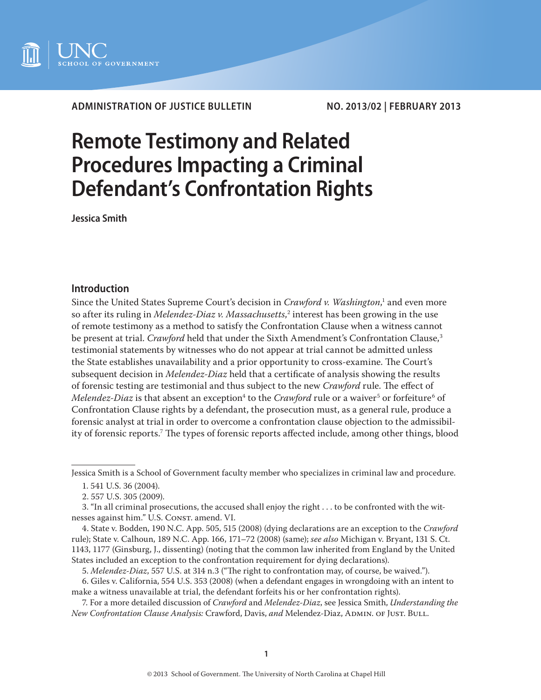

**ADMINISTRATION OF JUSTICE BULLETIN NO. 2013/02 | FEBRUARY 2013**

# **Remote Testimony and Related Procedures Impacting a Criminal Defendant's Confrontation Rights**

**Jessica Smith** 

# **Introduction**

Since the United States Supreme Court's decision in *Crawford v. Washington*, 1 and even more so after its ruling in *Melendez-Diaz v. Massachusetts*, 2 interest has been growing in the use of remote testimony as a method to satisfy the Confrontation Clause when a witness cannot be present at trial. *Crawford* held that under the Sixth Amendment's Confrontation Clause,<sup>3</sup> testimonial statements by witnesses who do not appear at trial cannot be admitted unless the State establishes unavailability and a prior opportunity to cross-examine. The Court's subsequent decision in *Melendez-Diaz* held that a certificate of analysis showing the results of forensic testing are testimonial and thus subject to the new *Crawford* rule. The effect of *Melendez-Diaz* is that absent an exception<sup>4</sup> to the *Crawford* rule or a waiver<sup>5</sup> or forfeiture<sup>6</sup> of Confrontation Clause rights by a defendant, the prosecution must, as a general rule, produce a forensic analyst at trial in order to overcome a confrontation clause objection to the admissibility of forensic reports.7 The types of forensic reports affected include, among other things, blood

Jessica Smith is a School of Government faculty member who specializes in criminal law and procedure.

<sup>1. 541</sup> U.S. 36 (2004).

<sup>2. 557</sup> U.S. 305 (2009).

<sup>3. &</sup>quot;In all criminal prosecutions, the accused shall enjoy the right . . . to be confronted with the witnesses against him." U.S. Const. amend. VI.

<sup>4.</sup> State v. Bodden, 190 N.C. App. 505, 515 (2008) (dying declarations are an exception to the *Crawford*  rule); State v. Calhoun, 189 N.C. App. 166, 171–72 (2008) (same); *see also* Michigan v. Bryant, 131 S. Ct. 1143, 1177 (Ginsburg, J., dissenting) (noting that the common law inherited from England by the United States included an exception to the confrontation requirement for dying declarations).

<sup>5.</sup> *Melendez-Diaz*, 557 U.S. at 314 n.3 ("The right to confrontation may, of course, be waived.").

<sup>6.</sup> Giles v. California, 554 U.S. 353 (2008) (when a defendant engages in wrongdoing with an intent to make a witness unavailable at trial, the defendant forfeits his or her confrontation rights).

<sup>7.</sup> For a more detailed discussion of *Crawford* and *Melendez-Diaz*, see Jessica Smith, *Understanding the New Confrontation Clause Analysis:* Crawford, Davis, *and* Melendez-Diaz, Admin. of Just. Bull.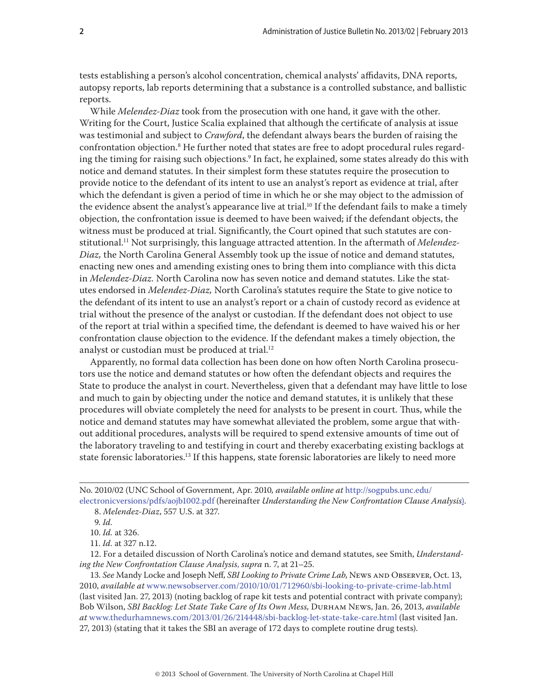tests establishing a person's alcohol concentration, chemical analysts' affidavits, DNA reports, autopsy reports, lab reports determining that a substance is a controlled substance, and ballistic reports.

While *Melendez-Diaz* took from the prosecution with one hand, it gave with the other. Writing for the Court, Justice Scalia explained that although the certificate of analysis at issue was testimonial and subject to *Crawford*, the defendant always bears the burden of raising the confrontation objection.8 He further noted that states are free to adopt procedural rules regarding the timing for raising such objections.9 In fact, he explained, some states already do this with notice and demand statutes. In their simplest form these statutes require the prosecution to provide notice to the defendant of its intent to use an analyst's report as evidence at trial, after which the defendant is given a period of time in which he or she may object to the admission of the evidence absent the analyst's appearance live at trial.<sup>10</sup> If the defendant fails to make a timely objection, the confrontation issue is deemed to have been waived; if the defendant objects, the witness must be produced at trial. Significantly, the Court opined that such statutes are constitutional.11 Not surprisingly, this language attracted attention. In the aftermath of *Melendez-Diaz,* the North Carolina General Assembly took up the issue of notice and demand statutes, enacting new ones and amending existing ones to bring them into compliance with this dicta in *Melendez-Diaz.* North Carolina now has seven notice and demand statutes. Like the statutes endorsed in *Melendez-Diaz,* North Carolina's statutes require the State to give notice to the defendant of its intent to use an analyst's report or a chain of custody record as evidence at trial without the presence of the analyst or custodian. If the defendant does not object to use of the report at trial within a specified time, the defendant is deemed to have waived his or her confrontation clause objection to the evidence. If the defendant makes a timely objection, the analyst or custodian must be produced at trial.<sup>12</sup>

Apparently, no formal data collection has been done on how often North Carolina prosecutors use the notice and demand statutes or how often the defendant objects and requires the State to produce the analyst in court. Nevertheless, given that a defendant may have little to lose and much to gain by objecting under the notice and demand statutes, it is unlikely that these procedures will obviate completely the need for analysts to be present in court. Thus, while the notice and demand statutes may have somewhat alleviated the problem, some argue that without additional procedures, analysts will be required to spend extensive amounts of time out of the laboratory traveling to and testifying in court and thereby exacerbating existing backlogs at state forensic laboratories.<sup>13</sup> If this happens, state forensic laboratories are likely to need more

12. For a detailed discussion of North Carolina's notice and demand statutes, see Smith, *Understanding the New Confrontation Clause Analysis*, *supra* n. 7, at 21–25.

13. *See* Mandy Locke and Joseph Neff, *SBI Looking to Private Crime Lab*, News and Observer, Oct. 13, 2010, *available at* www.newsobserver.com/2010/10/01/712960/sbi-looking-to-private-crime-lab.html (last visited Jan. 27, 2013) (noting backlog of rape kit tests and potential contract with private company); Bob Wilson, *SBI Backlog: Let State Take Care of Its Own Mess,* Durham News, Jan. 26, 2013, *available at* www.thedurhamnews.com/2013/01/26/214448/sbi-backlog-let-state-take-care.html (last visited Jan. 27, 2013) (stating that it takes the SBI an average of 172 days to complete routine drug tests).

No. 2010/02 (UNC School of Government, Apr. 2010*, available online at* [http://sogpubs.unc.edu/](http://sogpubs.unc.edu/electronicversions/pdfs/aojb1002.pdf) [electronicversions/pdfs/aojb1002.pdf](http://sogpubs.unc.edu/electronicversions/pdfs/aojb1002.pdf) (hereinafter *Understanding the New Confrontation Clause Analysis*).

<sup>8.</sup> *Melendez-Diaz*, 557 U.S. at 327.

<sup>9.</sup> *Id.*

<sup>10.</sup> *Id.* at 326.

<sup>11.</sup> *Id.* at 327 n.12.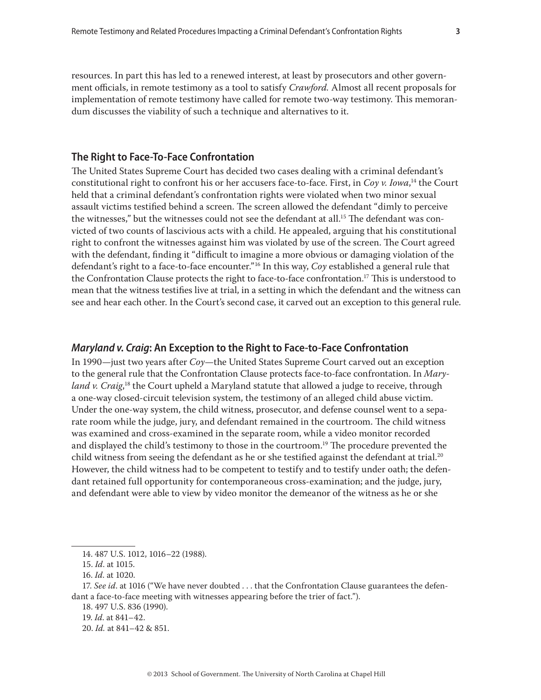resources. In part this has led to a renewed interest, at least by prosecutors and other government officials, in remote testimony as a tool to satisfy *Crawford.* Almost all recent proposals for implementation of remote testimony have called for remote two-way testimony. This memorandum discusses the viability of such a technique and alternatives to it.

## **The Right to Face-To-Face Confrontation**

The United States Supreme Court has decided two cases dealing with a criminal defendant's constitutional right to confront his or her accusers face-to-face. First, in *Coy v. Iowa*, 14 the Court held that a criminal defendant's confrontation rights were violated when two minor sexual assault victims testified behind a screen. The screen allowed the defendant "dimly to perceive the witnesses," but the witnesses could not see the defendant at all.<sup>15</sup> The defendant was convicted of two counts of lascivious acts with a child. He appealed, arguing that his constitutional right to confront the witnesses against him was violated by use of the screen. The Court agreed with the defendant, finding it "difficult to imagine a more obvious or damaging violation of the defendant's right to a face-to-face encounter."16 In this way, *Coy* established a general rule that the Confrontation Clause protects the right to face-to-face confrontation.17 This is understood to mean that the witness testifies live at trial, in a setting in which the defendant and the witness can see and hear each other. In the Court's second case, it carved out an exception to this general rule.

## *Maryland v. Craig***: An Exception to the Right to Face-to-Face Confrontation**

In 1990—just two years after *Coy*—the United States Supreme Court carved out an exception to the general rule that the Confrontation Clause protects face-to-face confrontation. In *Maryland v. Craig*,<sup>18</sup> the Court upheld a Maryland statute that allowed a judge to receive, through a one-way closed-circuit television system, the testimony of an alleged child abuse victim. Under the one-way system, the child witness, prosecutor, and defense counsel went to a separate room while the judge, jury, and defendant remained in the courtroom. The child witness was examined and cross-examined in the separate room, while a video monitor recorded and displayed the child's testimony to those in the courtroom.<sup>19</sup> The procedure prevented the child witness from seeing the defendant as he or she testified against the defendant at trial.<sup>20</sup> However, the child witness had to be competent to testify and to testify under oath; the defendant retained full opportunity for contemporaneous cross-examination; and the judge, jury, and defendant were able to view by video monitor the demeanor of the witness as he or she

<sup>14. 487</sup> U.S. 1012, 1016–22 (1988).

<sup>15.</sup> *Id*. at 1015.

<sup>16.</sup> *Id*. at 1020.

<sup>17.</sup> *See id*. at 1016 ("We have never doubted . . . that the Confrontation Clause guarantees the defendant a face-to-face meeting with witnesses appearing before the trier of fact.").

<sup>18. 497</sup> U.S. 836 (1990).

<sup>19.</sup> *Id*. at 841–42.

<sup>20.</sup> *Id.* at 841–42 & 851.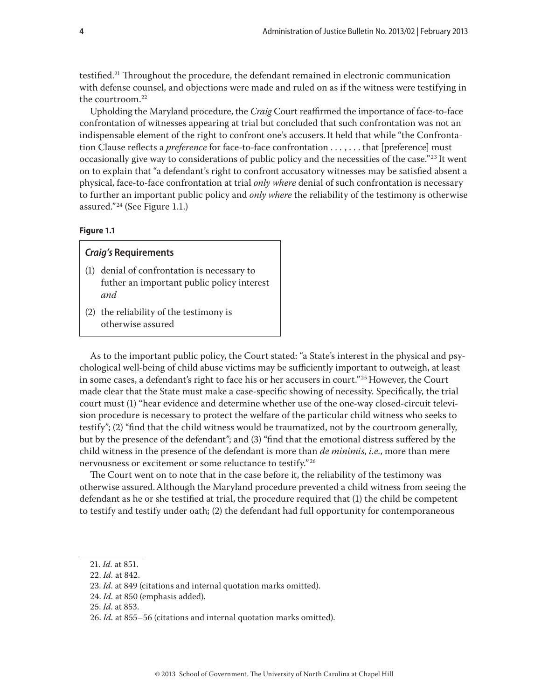testified.21 Throughout the procedure, the defendant remained in electronic communication with defense counsel, and objections were made and ruled on as if the witness were testifying in the courtroom.22

Upholding the Maryland procedure, the *Craig* Court reaffirmed the importance of face-to-face confrontation of witnesses appearing at trial but concluded that such confrontation was not an indispensable element of the right to confront one's accusers.It held that while "the Confrontation Clause reflects a *preference* for face-to-face confrontation . . . , . . . that [preference] must occasionally give way to considerations of public policy and the necessities of the case."<sup>23</sup> It went on to explain that "a defendant's right to confront accusatory witnesses may be satisfied absent a physical, face-to-face confrontation at trial *only where* denial of such confrontation is necessary to further an important public policy and *only where* the reliability of the testimony is otherwise assured." 24 (See Figure 1.1.)

## **Figure 1.1**

# *Craig's* **Requirements**

- (1) denial of confrontation is necessary to futher an important public policy interest *and*
- (2) the reliability of the testimony is otherwise assured

As to the important public policy, the Court stated: "a State's interest in the physical and psychological well-being of child abuse victims may be sufficiently important to outweigh, at least in some cases, a defendant's right to face his or her accusers in court." <sup>25</sup> However, the Court made clear that the State must make a case-specific showing of necessity. Specifically, the trial court must (1) "hear evidence and determine whether use of the one-way closed-circuit television procedure is necessary to protect the welfare of the particular child witness who seeks to testify"; (2) "find that the child witness would be traumatized, not by the courtroom generally, but by the presence of the defendant"; and (3) "find that the emotional distress suffered by the child witness in the presence of the defendant is more than *de minimis*, *i.e.*, more than mere nervousness or excitement or some reluctance to testify." <sup>26</sup>

The Court went on to note that in the case before it, the reliability of the testimony was otherwise assured.Although the Maryland procedure prevented a child witness from seeing the defendant as he or she testified at trial, the procedure required that (1) the child be competent to testify and testify under oath; (2) the defendant had full opportunity for contemporaneous

<sup>21.</sup> *Id.* at 851.

<sup>22.</sup> *Id.* at 842.

<sup>23.</sup> *Id*. at 849 (citations and internal quotation marks omitted).

<sup>24.</sup> *Id.* at 850 (emphasis added).

<sup>25.</sup> *Id*. at 853.

<sup>26.</sup> *Id.* at 855–56 (citations and internal quotation marks omitted).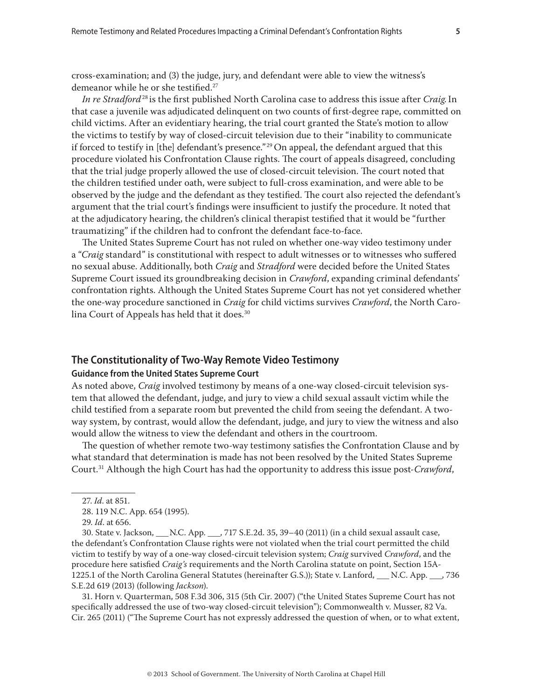cross-examination; and (3) the judge, jury, and defendant were able to view the witness's demeanor while he or she testified.<sup>27</sup>

*In re Stradford*<sup>28</sup> is the first published North Carolina case to address this issue after *Craig.*In that case a juvenile was adjudicated delinquent on two counts of first-degree rape, committed on child victims. After an evidentiary hearing, the trial court granted the State's motion to allow the victims to testify by way of closed-circuit television due to their "inability to communicate if forced to testify in [the] defendant's presence."<sup>29</sup> On appeal, the defendant argued that this procedure violated his Confrontation Clause rights. The court of appeals disagreed, concluding that the trial judge properly allowed the use of closed-circuit television. The court noted that the children testified under oath, were subject to full-cross examination, and were able to be observed by the judge and the defendant as they testified. The court also rejected the defendant's argument that the trial court's findings were insufficient to justify the procedure. It noted that at the adjudicatory hearing, the children's clinical therapist testified that it would be "further traumatizing" if the children had to confront the defendant face-to-face.

The United States Supreme Court has not ruled on whether one-way video testimony under a "*Craig* standard" is constitutional with respect to adult witnesses or to witnesses who suffered no sexual abuse. Additionally, both *Craig* and *Stradford* were decided before the United States Supreme Court issued its groundbreaking decision in *Crawford*, expanding criminal defendants' confrontation rights. Although the United States Supreme Court has not yet considered whether the one-way procedure sanctioned in *Craig* for child victims survives *Crawford*, the North Carolina Court of Appeals has held that it does.<sup>30</sup>

# **The Constitutionality of Two-Way Remote Video Testimony**

## **Guidance from the United States Supreme Court**

As noted above, *Craig* involved testimony by means of a one-way closed-circuit television system that allowed the defendant, judge, and jury to view a child sexual assault victim while the child testified from a separate room but prevented the child from seeing the defendant. A twoway system, by contrast, would allow the defendant, judge, and jury to view the witness and also would allow the witness to view the defendant and others in the courtroom.

The question of whether remote two-way testimony satisfies the Confrontation Clause and by what standard that determination is made has not been resolved by the United States Supreme Court.31 Although the high Court has had the opportunity to address this issue post-*Crawford*,

30. State v. Jackson, \_\_\_ N.C. App. \_\_\_, 717 S.E.2d. 35, 39–40 (2011) (in a child sexual assault case, the defendant's Confrontation Clause rights were not violated when the trial court permitted the child victim to testify by way of a one-way closed-circuit television system; *Craig* survived *Crawford*, and the procedure here satisfied *Craig's* requirements and the North Carolina statute on point, Section 15A-1225.1 of the North Carolina General Statutes (hereinafter G.S.)); State v. Lanford, \_\_\_ N.C. App. \_\_\_, 736 S.E.2d 619 (2013) (following *Jackson*).

31. Horn v. Quarterman, 508 F.3d 306, 315 (5th Cir. 2007) ("the United States Supreme Court has not specifically addressed the use of two-way closed-circuit television"); Commonwealth v. Musser, 82 Va. Cir. 265 (2011) ("The Supreme Court has not expressly addressed the question of when, or to what extent,

<sup>27.</sup> *Id*. at 851.

<sup>28. 119</sup> N.C. App. 654 (1995).

<sup>29.</sup> *Id*. at 656.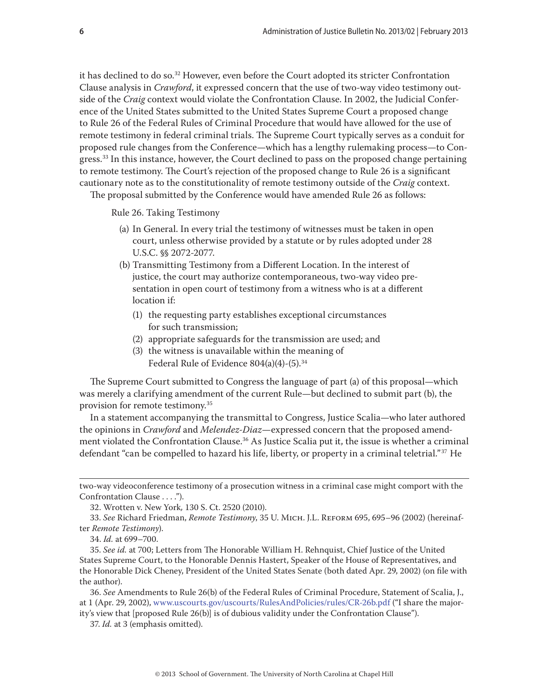it has declined to do so.32 However, even before the Court adopted its stricter Confrontation Clause analysis in *Crawford*, it expressed concern that the use of two-way video testimony outside of the *Craig* context would violate the Confrontation Clause. In 2002, the Judicial Conference of the United States submitted to the United States Supreme Court a proposed change to Rule 26 of the Federal Rules of Criminal Procedure that would have allowed for the use of remote testimony in federal criminal trials. The Supreme Court typically serves as a conduit for proposed rule changes from the Conference—which has a lengthy rulemaking process—to Congress.<sup>33</sup> In this instance, however, the Court declined to pass on the proposed change pertaining to remote testimony. The Court's rejection of the proposed change to Rule 26 is a significant cautionary note as to the constitutionality of remote testimony outside of the *Craig* context. The proposal submitted by the Conference would have amended Rule 26 as follows:

Rule 26. Taking Testimony

- (a) In General. In every trial the testimony of witnesses must be taken in open court, unless otherwise provided by a statute or by rules adopted under 28 U.S.C. §§ 2072[-2077.](https://web2.westlaw.com/find/default.wl?tc=-1&docname=28USCAS2077&rp=%2ffind%2fdefault.wl&sv=Split&rs=WLW11.01&db=1000546&tf=-1&findtype=L&fn=_top&mt=188&vr=2.0&pbc=0D4A0B90&ordoc=0291311597)
- (b) Transmitting Testimony from a Different Location. In the interest of justice, the court may authorize contemporaneous, two-way video presentation in open court of testimony from a witness who is at a different location if:
	- (1) the requesting party establishes exceptional circumstances for such transmission;
	- (2) appropriate safeguards for the transmission are used; and
	- (3) the witness is unavailable within the meaning of Federal Rule of Evidence 804(a)(4)-(5).34

The Supreme Court submitted to Congress the language of part (a) of this proposal—which was merely a clarifying amendment of the current Rule—but declined to submit part (b), the provision for remote testimony.35

In a statement accompanying the transmittal to Congress, Justice Scalia—who later authored the opinions in *Crawford* and *Melendez-Diaz*—expressed concern that the proposed amendment violated the Confrontation Clause.<sup>36</sup> As Justice Scalia put it, the issue is whether a criminal defendant "can be compelled to hazard his life, liberty, or property in a criminal teletrial."37 He

37. *Id.* at 3 (emphasis omitted).

two-way videoconference testimony of a prosecution witness in a criminal case might comport with the Confrontation Clause . . . .").

<sup>32.</sup> Wrotten v. New York*,* 130 S. Ct. 2520 (2010).

<sup>33.</sup> *See* Richard Friedman, *Remote Testimony*, 35 U. Mich. J.L. Reform 695, 695–96 (2002) (hereinafter *Remote Testimony*).

<sup>34.</sup> *Id.* at 699–700.

<sup>35.</sup> *See id.* at 700; Letters from The Honorable William H. Rehnquist, Chief Justice of the United States Supreme Court, to the Honorable Dennis Hastert, Speaker of the House of Representatives, and the Honorable Dick Cheney, President of the United States Senate (both dated Apr. 29, 2002) (on file with the author).

<sup>36.</sup> *See* Amendments to Rule 26(b) of the Federal Rules of Criminal Procedure, Statement of Scalia, J., at 1 (Apr. 29, 2002), www.uscourts.gov/uscourts/RulesAndPolicies/rules/CR-26b.pdf ("I share the majority's view that [proposed Rule 26(b)] is of dubious validity under the Confrontation Clause").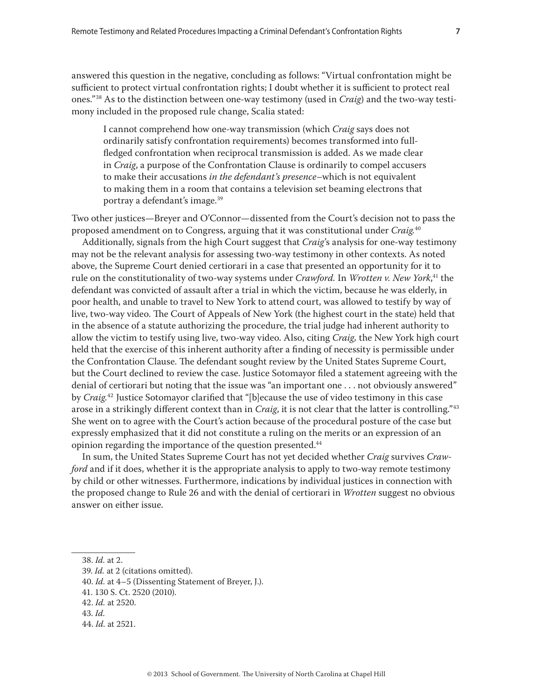answered this question in the negative, concluding as follows: "Virtual confrontation might be sufficient to protect virtual confrontation rights; I doubt whether it is sufficient to protect real ones."38 As to the distinction between one-way testimony (used in *Craig*) and the two-way testimony included in the proposed rule change, Scalia stated:

I cannot comprehend how one-way transmission (which *Craig* says does not ordinarily satisfy confrontation requirements) becomes transformed into fullfledged confrontation when reciprocal transmission is added. As we made clear in *Craig*, a purpose of the Confrontation Clause is ordinarily to compel accusers to make their accusations *in the defendant's presence*–which is not equivalent to making them in a room that contains a television set beaming electrons that portray a defendant's image.39

Two other justices—Breyer and O'Connor—dissented from the Court's decision not to pass the proposed amendment on to Congress, arguing that it was constitutional under *Craig.*<sup>40</sup>

Additionally, signals from the high Court suggest that *Craig*'s analysis for one-way testimony may not be the relevant analysis for assessing two-way testimony in other contexts. As noted above, the Supreme Court denied certiorari in a case that presented an opportunity for it to rule on the constitutionality of two-way systems under *Crawford.* In *Wrotten v. New York*, 41 the defendant was convicted of assault after a trial in which the victim, because he was elderly, in poor health, and unable to travel to New York to attend court, was allowed to testify by way of live, two-way video. The Court of Appeals of New York (the highest court in the state) held that in the absence of a statute authorizing the procedure, the trial judge had inherent authority to allow the victim to testify using live, two-way video. Also, citing *Craig,* the New York high court held that the exercise of this inherent authority after a finding of necessity is permissible under the Confrontation Clause. The defendant sought review by the United States Supreme Court, but the Court declined to review the case. Justice Sotomayor filed a statement agreeing with the denial of certiorari but noting that the issue was "an important one . . . not obviously answered" by *Craig*. 42 Justice Sotomayor clarified that "[b]ecause the use of video testimony in this case arose in a strikingly different context than in *Craig*, it is not clear that the latter is controlling."43 She went on to agree with the Court's action because of the procedural posture of the case but expressly emphasized that it did not constitute a ruling on the merits or an expression of an opinion regarding the importance of the question presented.<sup>44</sup>

In sum, the United States Supreme Court has not yet decided whether *Craig* survives *Crawford* and if it does, whether it is the appropriate analysis to apply to two-way remote testimony by child or other witnesses. Furthermore, indications by individual justices in connection with the proposed change to Rule 26 and with the denial of certiorari in *Wrotten* suggest no obvious answer on either issue.

44. *Id.* at 2521.

<sup>38.</sup> *Id.* at 2.

<sup>39.</sup> *Id.* at 2 (citations omitted).

<sup>40.</sup> *Id.* at 4–5 (Dissenting Statement of Breyer, J.).

<sup>41. 130</sup> S. Ct. 2520 (2010).

<sup>42.</sup> *Id.* at 2520.

<sup>43.</sup> *Id.*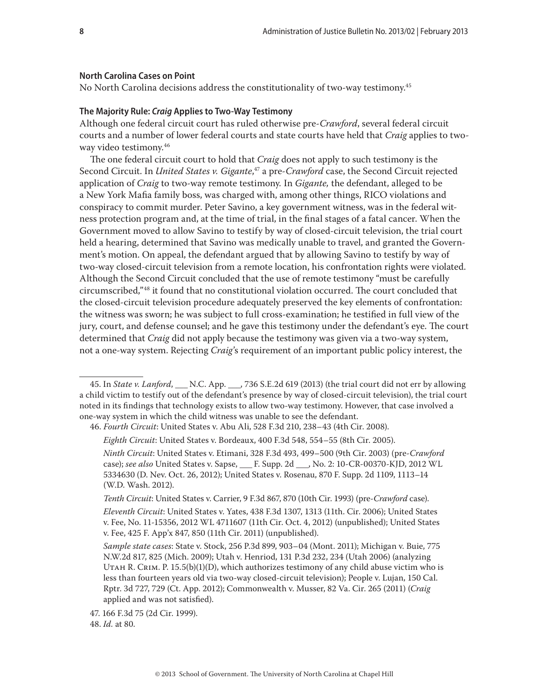#### **North Carolina Cases on Point**

No North Carolina decisions address the constitutionality of two-way testimony.<sup>45</sup>

### **The Majority Rule:** *Craig* **Applies to Two-Way Testimony**

Although one federal circuit court has ruled otherwise pre-*Crawford*, several federal circuit courts and a number of lower federal courts and state courts have held that *Craig* applies to twoway video testimony.<sup>46</sup>

The one federal circuit court to hold that *Craig* does not apply to such testimony is the Second Circuit. In *United States v. Gigante*, 47 a pre-*Crawford* case, the Second Circuit rejected application of *Craig* to two-way remote testimony*.* In *Gigante,* the defendant, alleged to be a New York Mafia family boss, was charged with, among other things, RICO violations and conspiracy to commit murder. Peter Savino, a key government witness, was in the federal witness protection program and, at the time of trial, in the final stages of a fatal cancer. When the Government moved to allow Savino to testify by way of closed-circuit television, the trial court held a hearing, determined that Savino was medically unable to travel, and granted the Government's motion. On appeal, the defendant argued that by allowing Savino to testify by way of two-way closed-circuit television from a remote location, his confrontation rights were violated. Although the Second Circuit concluded that the use of remote testimony "must be carefully circumscribed,"48 it found that no constitutional violation occurred. The court concluded that the closed-circuit television procedure adequately preserved the key elements of confrontation: the witness was sworn; he was subject to full cross-examination; he testified in full view of the jury, court, and defense counsel; and he gave this testimony under the defendant's eye. The court determined that *Craig* did not apply because the testimony was given via a two-way system, not a one-way system. Rejecting *Craig*'s requirement of an important public policy interest, the

*Tenth Circuit*: United States v. Carrier, 9 F.3d 867, 870 (10th Cir. 1993) (pre-*Crawford* case).

<sup>45.</sup> In *State v. Lanford*, \_\_\_ N.C. App. \_\_\_, 736 S.E.2d 619 (2013) (the trial court did not err by allowing a child victim to testify out of the defendant's presence by way of closed-circuit television), the trial court noted in its findings that technology exists to allow two-way testimony. However, that case involved a one-way system in which the child witness was unable to see the defendant.

<sup>46.</sup> *Fourth Circuit*: United States v. Abu Ali, 528 F.3d 210, 238–43 (4th Cir. 2008).

*Eighth Circuit*: United States v. Bordeaux, 400 F.3d 548, 554–55 (8th Cir. 2005).

*Ninth Circuit*: United States v. Etimani, 328 F.3d 493, 499–500 (9th Cir. 2003) (pre-*Crawford* case); *see also* United States v. Sapse, \_\_\_ F. Supp. 2d \_\_\_, No. 2: 10-CR-00370-KJD, 2012 WL 5334630 (D. Nev. Oct. 26, 2012); United States v. Rosenau, 870 F. Supp. 2d 1109, 1113–14 (W.D. Wash. 2012).

*Eleventh Circuit*: United States v. Yates, 438 F.3d 1307, 1313 (11th. Cir. 2006); United States v. Fee, No. 11-15356, 2012 WL 4711607 (11th Cir. Oct. 4, 2012) (unpublished); United States v. Fee, 425 F. App'x 847, 850 (11th Cir. 2011) (unpublished).

*Sample state cases*: State v. Stock, 256 P.3d 899, 903–04 (Mont. 2011); Michigan v. Buie, 775 N.W.2d 817, 825 (Mich. 2009); Utah v. Henriod, 131 P.3d 232, 234 (Utah 2006) (analyzing UTAH R. CRIM. P.  $15.5(b)(1)(D)$ , which authorizes testimony of any child abuse victim who is less than fourteen years old via two-way closed-circuit television); People v. Lujan, 150 Cal. Rptr. 3d 727, 729 (Ct. App. 2012); Commonwealth v. Musser, 82 Va. Cir. 265 (2011) (*Craig*  applied and was not satisfied).

<sup>47. 166</sup> F.3d 75 (2d Cir. 1999).

<sup>48.</sup> *Id.* at 80.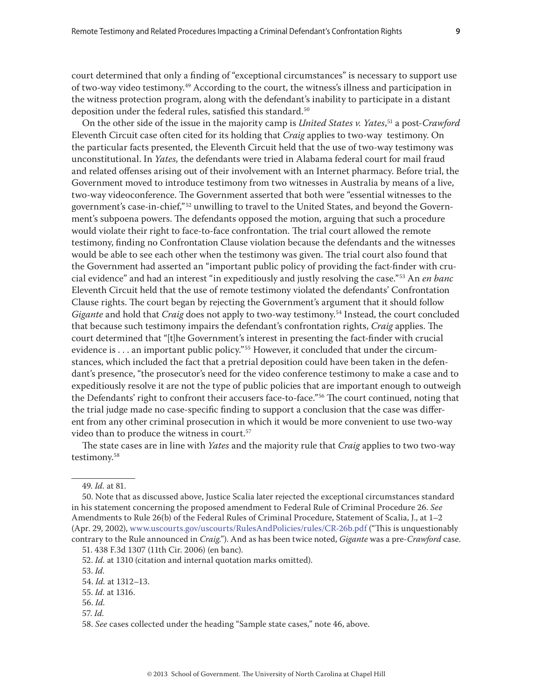court determined that only a finding of "exceptional circumstances" is necessary to support use of two-way video testimony.<sup>49</sup> According to the court, the witness's illness and participation in the witness protection program, along with the defendant's inability to participate in a distant deposition under the federal rules, satisfied this standard.<sup>50</sup>

On the other side of the issue in the majority camp is *United States v. Yates*, 51 a post-*Crawford*  Eleventh Circuit case often cited for its holding that *Craig* applies to two-way testimony. On the particular facts presented, the Eleventh Circuit held that the use of two-way testimony was unconstitutional. In *Yates,* the defendants were tried in Alabama federal court for mail fraud and related offenses arising out of their involvement with an Internet pharmacy. Before trial, the Government moved to introduce testimony from two witnesses in Australia by means of a live, two-way videoconference. The Government asserted that both were "essential witnesses to the government's case-in-chief,"<sup>52</sup> unwilling to travel to the United States, and beyond the Government's subpoena powers. The defendants opposed the motion, arguing that such a procedure would violate their right to face-to-face confrontation. The trial court allowed the remote testimony, finding no Confrontation Clause violation because the defendants and the witnesses would be able to see each other when the testimony was given. The trial court also found that the Government had asserted an "important public policy of providing the fact-finder with crucial evidence" and had an interest "in expeditiously and justly resolving the case."53 An *en banc* Eleventh Circuit held that the use of remote testimony violated the defendants' Confrontation Clause rights. The court began by rejecting the Government's argument that it should follow *Gigante* and hold that *Craig* does not apply to two-way testimony.54 Instead, the court concluded that because such testimony impairs the defendant's confrontation rights, *Craig* applies. The court determined that "[t]he Government's interest in presenting the fact-finder with crucial evidence is  $\dots$  an important public policy."<sup>55</sup> However, it concluded that under the circumstances, which included the fact that a pretrial deposition could have been taken in the defendant's presence, "the prosecutor's need for the video conference testimony to make a case and to expeditiously resolve it are not the type of public policies that are important enough to outweigh the Defendants' right to confront their accusers face-to-face."56 The court continued, noting that the trial judge made no case-specific finding to support a conclusion that the case was different from any other criminal prosecution in which it would be more convenient to use two-way video than to produce the witness in court.<sup>57</sup>

The state cases are in line with *Yates* and the majority rule that *Craig* applies to two two-way testimony.<sup>58</sup>

57. *Id.*

<sup>49.</sup> *Id.* at 81.

<sup>50.</sup> Note that as discussed above, Justice Scalia later rejected the exceptional circumstances standard in his statement concerning the proposed amendment to Federal Rule of Criminal Procedure 26. *See* Amendments to Rule 26(b) of the Federal Rules of Criminal Procedure, Statement of Scalia, J., at 1–2 (Apr. 29, 2002), www.uscourts.gov/uscourts/RulesAndPolicies/rules/CR-26b.pdf ("This is unquestionably contrary to the Rule announced in *Craig*."). And as has been twice noted, *Gigante* was a pre-*Crawford* case. 51. 438 F.3d 1307 (11th Cir. 2006) (en banc).

<sup>52.</sup> *Id.* at 1310 (citation and internal quotation marks omitted).

<sup>53.</sup> *Id.*

<sup>54.</sup> *Id.* at 1312–13.

<sup>55.</sup> *Id.* at 1316.

<sup>56.</sup> *Id.*

<sup>58.</sup> *See* cases collected under the heading "Sample state cases," note 46, above.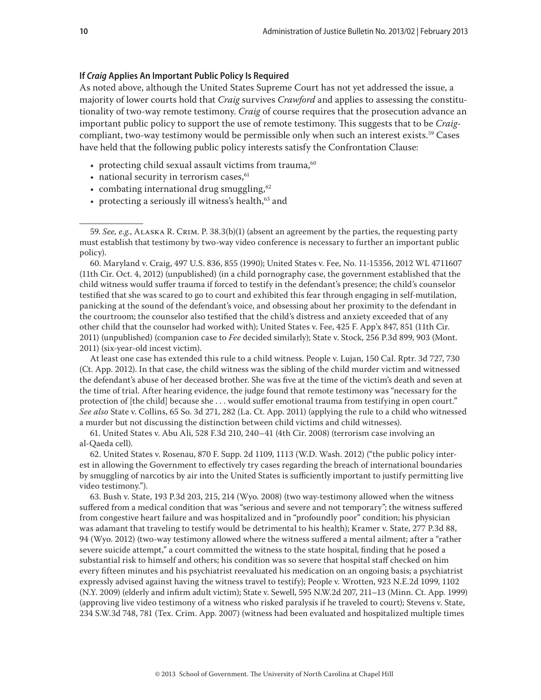## **If** *Craig* **Applies An Important Public Policy Is Required**

As noted above, although the United States Supreme Court has not yet addressed the issue, a majority of lower courts hold that *Craig* survives *Crawford* and applies to assessing the constitutionality of two-way remote testimony. *Craig* of course requires that the prosecution advance an important public policy to support the use of remote testimony. This suggests that to be *Craig*compliant, two-way testimony would be permissible only when such an interest exists.<sup>59</sup> Cases have held that the following public policy interests satisfy the Confrontation Clause:

- protecting child sexual assault victims from trauma, $60$
- $\bullet$  national security in terrorism cases,  $61$
- $\bullet$  combating international drug smuggling, $62$
- protecting a seriously ill witness's health,  $63$  and

60. Maryland v. Craig, 497 U.S. 836, 855 (1990); United States v. Fee, No. 11-15356, 2012 WL 4711607 (11th Cir. Oct. 4, 2012) (unpublished) (in a child pornography case, the government established that the child witness would suffer trauma if forced to testify in the defendant's presence; the child's counselor testified that she was scared to go to court and exhibited this fear through engaging in self-mutilation, panicking at the sound of the defendant's voice, and obsessing about her proximity to the defendant in the courtroom; the counselor also testified that the child's distress and anxiety exceeded that of any other child that the counselor had worked with); United States v. Fee, 425 F. App'x 847, 851 (11th Cir. 2011) (unpublished) (companion case to *Fee* decided similarly); State v. Stock, 256 P.3d 899, 903 (Mont. 2011) (six-year-old incest victim).

At least one case has extended this rule to a child witness. People v. Lujan, 150 Cal. Rptr. 3d 727, 730 (Ct. App. 2012). In that case, the child witness was the sibling of the child murder victim and witnessed the defendant's abuse of her deceased brother. She was five at the time of the victim's death and seven at the time of trial. After hearing evidence, the judge found that remote testimony was "necessary for the protection of [the child] because she . . . would suffer emotional trauma from testifying in open court." *See also* State v. Collins, 65 So. 3d 271, 282 (La. Ct. App. 2011) (applying the rule to a child who witnessed a murder but not discussing the distinction between child victims and child witnesses).

61. United States v. Abu Ali, 528 F.3d 210, 240–41 (4th Cir. 2008) (terrorism case involving an al-Qaeda cell).

62. United States v. Rosenau, 870 F. Supp. 2d 1109, 1113 (W.D. Wash. 2012) ("the public policy interest in allowing the Government to effectively try cases regarding the breach of international boundaries by smuggling of narcotics by air into the United States is sufficiently important to justify permitting live video testimony.").

63. Bush v. State, 193 P.3d 203, 215, 214 (Wyo. 2008) (two way-testimony allowed when the witness suffered from a medical condition that was "serious and severe and not temporary"; the witness suffered from congestive heart failure and was hospitalized and in "profoundly poor" condition; his physician was adamant that traveling to testify would be detrimental to his health); Kramer v. State, 277 P.3d 88, 94 (Wyo. 2012) (two-way testimony allowed where the witness suffered a mental ailment; after a "rather severe suicide attempt," a court committed the witness to the state hospital, finding that he posed a substantial risk to himself and others; his condition was so severe that hospital staff checked on him every fifteen minutes and his psychiatrist reevaluated his medication on an ongoing basis; a psychiatrist expressly advised against having the witness travel to testify); People v. Wrotten, 923 N.E.2d 1099, 1102 (N.Y. 2009) (elderly and infirm adult victim); State v. Sewell, 595 N.W.2d 207, 211–13 (Minn. Ct. App. 1999) (approving live video testimony of a witness who risked paralysis if he traveled to court); Stevens v. State, 234 S.W.3d 748, 781 (Tex. Crim. App. 2007) (witness had been evaluated and hospitalized multiple times

<sup>59.</sup> *See, e.g.*, Alaska R. Crim. P. 38.3(b)(1) (absent an agreement by the parties, the requesting party must establish that testimony by two-way video conference is necessary to further an important public policy).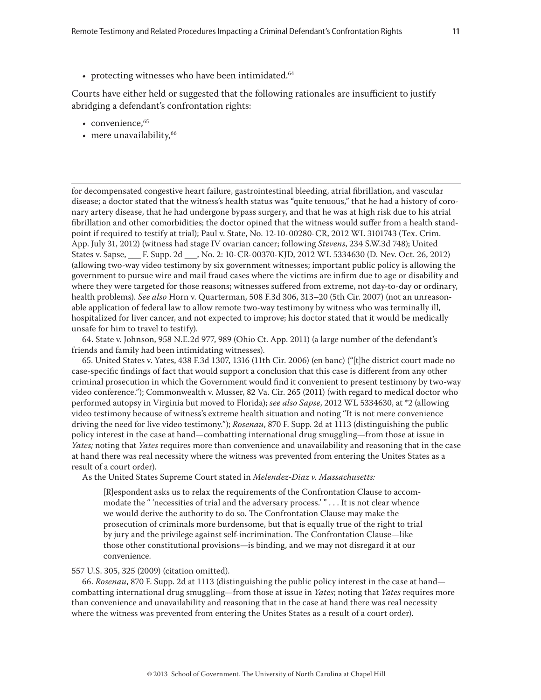• protecting witnesses who have been intimidated.<sup>64</sup>

Courts have either held or suggested that the following rationales are insufficient to justify abridging a defendant's confrontation rights:

- convenience, $65$
- mere unavailability,<sup>66</sup>

for decompensated congestive heart failure, gastrointestinal bleeding, atrial fibrillation, and vascular disease; a doctor stated that the witness's health status was "quite tenuous," that he had a history of coronary artery disease, that he had undergone bypass surgery, and that he was at high risk due to his atrial fibrillation and other comorbidities; the doctor opined that the witness would suffer from a health standpoint if required to testify at trial); Paul v. State, No. 12-10-00280-CR, 2012 WL 3101743 (Tex. Crim. App. July 31, 2012) (witness had stage IV ovarian cancer; following *Stevens*, 234 S.W.3d 748); United States v. Sapse, F. Supp. 2d , No. 2: 10-CR-00370-KJD, 2012 WL 5334630 (D. Nev. Oct. 26, 2012) (allowing two-way video testimony by six government witnesses; important public policy is allowing the government to pursue wire and mail fraud cases where the victims are infirm due to age or disability and where they were targeted for those reasons; witnesses suffered from extreme, not day-to-day or ordinary, health problems). *See also* Horn v. Quarterman, 508 F.3d 306, 313–20 (5th Cir. 2007) (not an unreasonable application of federal law to allow remote two-way testimony by witness who was terminally ill, hospitalized for liver cancer, and not expected to improve; his doctor stated that it would be medically unsafe for him to travel to testify).

64. State v. Johnson, 958 N.E.2d 977, 989 (Ohio Ct. App. 2011) (a large number of the defendant's friends and family had been intimidating witnesses).

65. United States v. Yates, 438 F.3d 1307, 1316 (11th Cir. 2006) (en banc) ("[t]he district court made no case-specific findings of fact that would support a conclusion that this case is different from any other criminal prosecution in which the Government would find it convenient to present testimony by two-way video conference."); Commonwealth v. Musser, 82 Va. Cir. 265 (2011) (with regard to medical doctor who performed autopsy in Virginia but moved to Florida); *see also Sapse*, 2012 WL 5334630, at \*2 (allowing video testimony because of witness's extreme health situation and noting "It is not mere convenience driving the need for live video testimony."); *Rosenau*, 870 F. Supp. 2d at 1113 (distinguishing the public policy interest in the case at hand—combatting international drug smuggling—from those at issue in *Yates;* noting that *Yates* requires more than convenience and unavailability and reasoning that in the case at hand there was real necessity where the witness was prevented from entering the Unites States as a result of a court order).

As the United States Supreme Court stated in *Melendez-Diaz v. Massachusetts:*

[R]espondent asks us to relax the requirements of the Confrontation Clause to accommodate the " 'necessities of trial and the adversary process.' " . . . It is not clear whence we would derive the authority to do so. The Confrontation Clause may make the prosecution of criminals more burdensome, but that is equally true of the right to trial by jury and the privilege against self-incrimination. The Confrontation Clause—like those other constitutional provisions—is binding, and we may not disregard it at our convenience.

#### 557 U.S. 305, 325 (2009) (citation omitted).

66. *Rosenau*, 870 F. Supp. 2d at 1113 (distinguishing the public policy interest in the case at hand combatting international drug smuggling—from those at issue in *Yates*; noting that *Yates* requires more than convenience and unavailability and reasoning that in the case at hand there was real necessity where the witness was prevented from entering the Unites States as a result of a court order).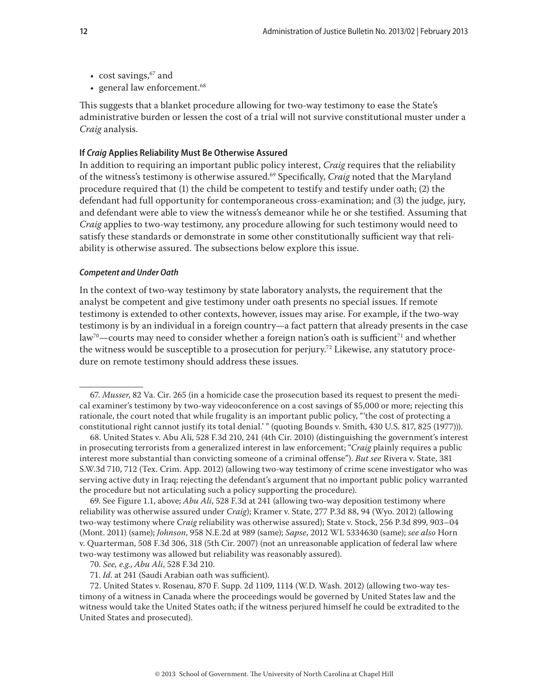- cost savings,  $67$  and
- general law enforcement.<sup>68</sup>

This suggests that a blanket procedure allowing for two-way testimony to ease the State's administrative burden or lessen the cost of a trial will not survive constitutional muster under a *Craig* analysis.

#### **If** *Craig* **Applies Reliability Must Be Otherwise Assured**

In addition to requiring an important public policy interest, *Craig* requires that the reliability of the witness's testimony is otherwise assured.69 Specifically, *Craig* noted that the Maryland procedure required that (1) the child be competent to testify and testify under oath; (2) the defendant had full opportunity for contemporaneous cross-examination; and (3) the judge, jury, and defendant were able to view the witness's demeanor while he or she testified. Assuming that *Craig* applies to two-way testimony, any procedure allowing for such testimony would need to satisfy these standards or demonstrate in some other constitutionally sufficient way that reliability is otherwise assured. The subsections below explore this issue.

## *Competent and Under Oath*

In the context of two-way testimony by state laboratory analysts, the requirement that the analyst be competent and give testimony under oath presents no special issues. If remote testimony is extended to other contexts, however, issues may arise. For example, if the two-way testimony is by an individual in a foreign country—a fact pattern that already presents in the case law<sup>70</sup>—courts may need to consider whether a foreign nation's oath is sufficient<sup>71</sup> and whether the witness would be susceptible to a prosecution for perjury.<sup>72</sup> Likewise, any statutory procedure on remote testimony should address these issues.

69. See Figure 1.1, above; *Abu Ali*, 528 F.3d at 241 (allowing two-way deposition testimony where reliability was otherwise assured under *Craig*); Kramer v. State, 277 P.3d 88, 94 (Wyo. 2012) (allowing two-way testimony where *Craig* reliability was otherwise assured); State v. Stock, 256 P.3d 899, 903–04 (Mont. 2011) (same); *Johnson*, 958 N.E.2d at 989 (same); *Sapse*, 2012 WL 5334630 (same); *see also* Horn v. Quarterman, 508 F.3d 306, 318 (5th Cir. 2007) (not an unreasonable application of federal law where two-way testimony was allowed but reliability was reasonably assured).

70. *See, e.g.*, *Abu Ali*, 528 F.3d 210.

71. *Id*. at 241 (Saudi Arabian oath was sufficient).

72. United States v. Rosenau, 870 F. Supp. 2d 1109, 1114 (W.D. Wash. 2012) (allowing two-way testimony of a witness in Canada where the proceedings would be governed by United States law and the witness would take the United States oath; if the witness perjured himself he could be extradited to the United States and prosecuted).

<sup>67.</sup> *Musser*, 82 Va. Cir. 265 (in a homicide case the prosecution based its request to present the medical examiner's testimony by two-way videoconference on a cost savings of \$5,000 or more; rejecting this rationale, the court noted that while frugality is an important public policy, "'the cost of protecting a constitutional right cannot justify its total denial.' " (quoting Bounds v. Smith, 430 U.S. 817, 825 (1977))).

<sup>68.</sup> United States v. Abu Ali, 528 F.3d 210, 241 (4th Cir. 2010) (distinguishing the government's interest in prosecuting terrorists from a generalized interest in law enforcement; "*Craig* plainly requires a public interest more substantial than convicting someone of a criminal offense"). *But see* Rivera v. State, 381 S.W.3d 710, 712 (Tex. Crim. App. 2012) (allowing two-way testimony of crime scene investigator who was serving active duty in Iraq; rejecting the defendant's argument that no important public policy warranted the procedure but not articulating such a policy supporting the procedure).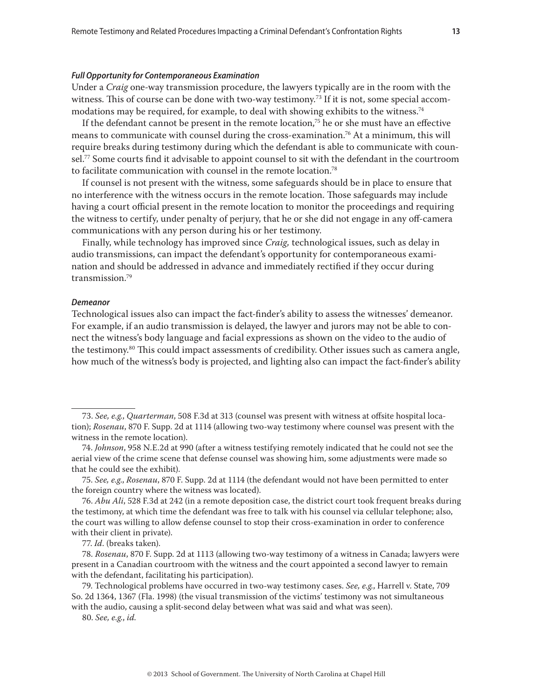#### *Full Opportunity for Contemporaneous Examination*

Under a *Craig* one-way transmission procedure, the lawyers typically are in the room with the witness. This of course can be done with two-way testimony.<sup>73</sup> If it is not, some special accommodations may be required, for example, to deal with showing exhibits to the witness.<sup>74</sup>

If the defendant cannot be present in the remote location,<sup>75</sup> he or she must have an effective means to communicate with counsel during the cross-examination.<sup>76</sup> At a minimum, this will require breaks during testimony during which the defendant is able to communicate with counsel.77 Some courts find it advisable to appoint counsel to sit with the defendant in the courtroom to facilitate communication with counsel in the remote location.78

If counsel is not present with the witness, some safeguards should be in place to ensure that no interference with the witness occurs in the remote location. Those safeguards may include having a court official present in the remote location to monitor the proceedings and requiring the witness to certify, under penalty of perjury, that he or she did not engage in any off-camera communications with any person during his or her testimony.

Finally, while technology has improved since *Craig,* technological issues, such as delay in audio transmissions, can impact the defendant's opportunity for contemporaneous examination and should be addressed in advance and immediately rectified if they occur during transmission.79

#### *Demeanor*

Technological issues also can impact the fact-finder's ability to assess the witnesses' demeanor. For example, if an audio transmission is delayed, the lawyer and jurors may not be able to connect the witness's body language and facial expressions as shown on the video to the audio of the testimony.<sup>80</sup> This could impact assessments of credibility. Other issues such as camera angle, how much of the witness's body is projected, and lighting also can impact the fact-finder's ability

77. *Id*. (breaks taken).

80. *See, e.g.*, *id.*

<sup>73.</sup> *See, e.g.*, *Quarterman*, 508 F.3d at 313 (counsel was present with witness at offsite hospital location); *Rosenau*, 870 F. Supp. 2d at 1114 (allowing two-way testimony where counsel was present with the witness in the remote location).

<sup>74.</sup> *Johnson*, 958 N.E.2d at 990 (after a witness testifying remotely indicated that he could not see the aerial view of the crime scene that defense counsel was showing him, some adjustments were made so that he could see the exhibit).

<sup>75.</sup> *See, e.g*., *Rosenau*, 870 F. Supp. 2d at 1114 (the defendant would not have been permitted to enter the foreign country where the witness was located).

<sup>76.</sup> *Abu Ali*, 528 F.3d at 242 (in a remote deposition case, the district court took frequent breaks during the testimony, at which time the defendant was free to talk with his counsel via cellular telephone; also, the court was willing to allow defense counsel to stop their cross-examination in order to conference with their client in private).

<sup>78.</sup> *Rosenau*, 870 F. Supp. 2d at 1113 (allowing two-way testimony of a witness in Canada; lawyers were present in a Canadian courtroom with the witness and the court appointed a second lawyer to remain with the defendant, facilitating his participation).

<sup>79.</sup> Technological problems have occurred in two-way testimony cases. *See, e.g.*, Harrell v. State, 709 So. 2d 1364, 1367 (Fla. 1998) (the visual transmission of the victims' testimony was not simultaneous with the audio, causing a split-second delay between what was said and what was seen).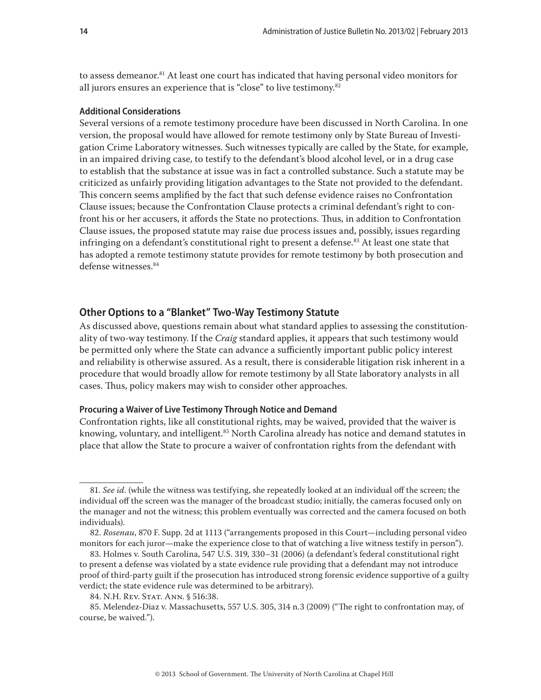to assess demeanor.<sup>81</sup> At least one court has indicated that having personal video monitors for all jurors ensures an experience that is "close" to live testimony.<sup>82</sup>

### **Additional Considerations**

Several versions of a remote testimony procedure have been discussed in North Carolina. In one version, the proposal would have allowed for remote testimony only by State Bureau of Investigation Crime Laboratory witnesses. Such witnesses typically are called by the State, for example, in an impaired driving case, to testify to the defendant's blood alcohol level, or in a drug case to establish that the substance at issue was in fact a controlled substance. Such a statute may be criticized as unfairly providing litigation advantages to the State not provided to the defendant. This concern seems amplified by the fact that such defense evidence raises no Confrontation Clause issues; because the Confrontation Clause protects a criminal defendant's right to confront his or her accusers, it affords the State no protections. Thus, in addition to Confrontation Clause issues, the proposed statute may raise due process issues and, possibly, issues regarding infringing on a defendant's constitutional right to present a defense.<sup>83</sup> At least one state that has adopted a remote testimony statute provides for remote testimony by both prosecution and defense witnesses.84

# **Other Options to a "Blanket" Two-Way Testimony Statute**

As discussed above, questions remain about what standard applies to assessing the constitutionality of two-way testimony. If the *Craig* standard applies, it appears that such testimony would be permitted only where the State can advance a sufficiently important public policy interest and reliability is otherwise assured. As a result, there is considerable litigation risk inherent in a procedure that would broadly allow for remote testimony by all State laboratory analysts in all cases. Thus, policy makers may wish to consider other approaches.

## **Procuring a Waiver of Live Testimony Through Notice and Demand**

Confrontation rights, like all constitutional rights, may be waived, provided that the waiver is knowing, voluntary, and intelligent.<sup>85</sup> North Carolina already has notice and demand statutes in place that allow the State to procure a waiver of confrontation rights from the defendant with

<sup>81.</sup> *See id*. (while the witness was testifying, she repeatedly looked at an individual off the screen; the individual off the screen was the manager of the broadcast studio; initially, the cameras focused only on the manager and not the witness; this problem eventually was corrected and the camera focused on both individuals).

<sup>82.</sup> *Rosenau*, 870 F. Supp. 2d at 1113 ("arrangements proposed in this Court—including personal video monitors for each juror—make the experience close to that of watching a live witness testify in person").

<sup>83.</sup> Holmes v. South Carolina, 547 U.S. 319, 330–31 (2006) (a defendant's federal constitutional right to present a defense was violated by a state evidence rule providing that a defendant may not introduce proof of third-party guilt if the prosecution has introduced strong forensic evidence supportive of a guilty verdict; the state evidence rule was determined to be arbitrary).

<sup>84.</sup> N.H. Rev. Stat. Ann. § 516:38.

<sup>85.</sup> Melendez-Diaz v. Massachusetts, 557 U.S. 305, 314 n.3 (2009) ("The right to confrontation may, of course, be waived.").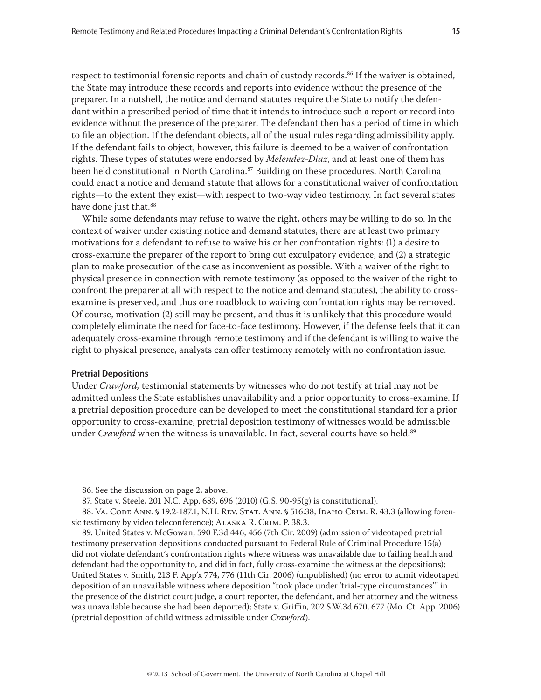respect to testimonial forensic reports and chain of custody records.<sup>86</sup> If the waiver is obtained, the State may introduce these records and reports into evidence without the presence of the preparer. In a nutshell, the notice and demand statutes require the State to notify the defendant within a prescribed period of time that it intends to introduce such a report or record into evidence without the presence of the preparer. The defendant then has a period of time in which to file an objection. If the defendant objects, all of the usual rules regarding admissibility apply. If the defendant fails to object, however, this failure is deemed to be a waiver of confrontation rights. These types of statutes were endorsed by *Melendez-Diaz*, and at least one of them has been held constitutional in North Carolina.<sup>87</sup> Building on these procedures, North Carolina could enact a notice and demand statute that allows for a constitutional waiver of confrontation rights—to the extent they exist—with respect to two-way video testimony. In fact several states have done just that.<sup>88</sup>

While some defendants may refuse to waive the right, others may be willing to do so. In the context of waiver under existing notice and demand statutes, there are at least two primary motivations for a defendant to refuse to waive his or her confrontation rights: (1) a desire to cross-examine the preparer of the report to bring out exculpatory evidence; and (2) a strategic plan to make prosecution of the case as inconvenient as possible. With a waiver of the right to physical presence in connection with remote testimony (as opposed to the waiver of the right to confront the preparer at all with respect to the notice and demand statutes), the ability to crossexamine is preserved, and thus one roadblock to waiving confrontation rights may be removed. Of course, motivation (2) still may be present, and thus it is unlikely that this procedure would completely eliminate the need for face-to-face testimony. However, if the defense feels that it can adequately cross-examine through remote testimony and if the defendant is willing to waive the right to physical presence, analysts can offer testimony remotely with no confrontation issue.

#### **Pretrial Depositions**

Under *Crawford,* testimonial statements by witnesses who do not testify at trial may not be admitted unless the State establishes unavailability and a prior opportunity to cross-examine. If a pretrial deposition procedure can be developed to meet the constitutional standard for a prior opportunity to cross-examine, pretrial deposition testimony of witnesses would be admissible under *Crawford* when the witness is unavailable. In fact, several courts have so held.<sup>89</sup>

<sup>86.</sup> See the discussion on page 2, above.

<sup>87.</sup> State v. Steele, 201 N.C. App. 689, 696 (2010) (G.S. 90-95(g) is constitutional).

<sup>88.</sup> Va. Code Ann. § 19.2-187.1; N.H. Rev. Stat. Ann. § 516:38; Idaho Crim. R. 43.3 (allowing forensic testimony by video teleconference); Alaska R. Crim. P. 38.3.

<sup>89.</sup> United States v. McGowan, 590 F.3d 446, 456 (7th Cir. 2009) (admission of videotaped pretrial testimony preservation depositions conducted pursuant to Federal Rule of Criminal Procedure 15(a) did not violate defendant's confrontation rights where witness was unavailable due to failing health and defendant had the opportunity to, and did in fact, fully cross-examine the witness at the depositions); United States v. Smith, 213 F. App'x 774, 776 (11th Cir. 2006) (unpublished) (no error to admit videotaped deposition of an unavailable witness where deposition "took place under 'trial-type circumstances'" in the presence of the district court judge, a court reporter, the defendant, and her attorney and the witness was unavailable because she had been deported); State v. Griffin, 202 S.W.3d 670, 677 (Mo. Ct. App. 2006) (pretrial deposition of child witness admissible under *Crawford*).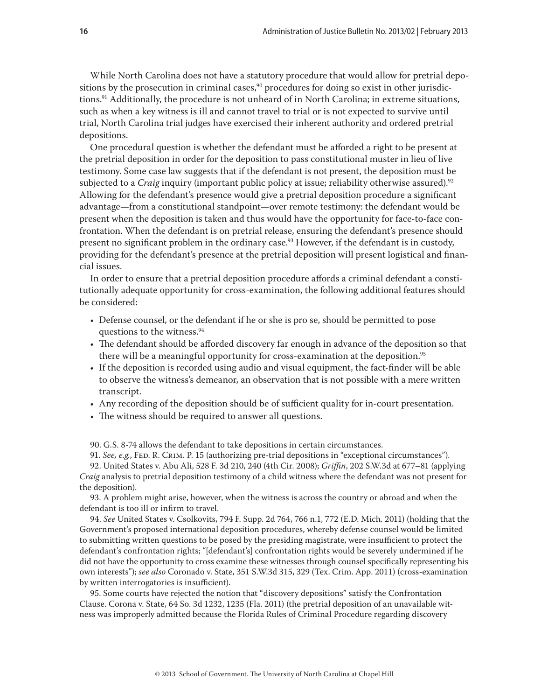While North Carolina does not have a statutory procedure that would allow for pretrial depositions by the prosecution in criminal cases, $90$  procedures for doing so exist in other jurisdictions.91 Additionally, the procedure is not unheard of in North Carolina; in extreme situations, such as when a key witness is ill and cannot travel to trial or is not expected to survive until trial, North Carolina trial judges have exercised their inherent authority and ordered pretrial depositions.

One procedural question is whether the defendant must be afforded a right to be present at the pretrial deposition in order for the deposition to pass constitutional muster in lieu of live testimony. Some case law suggests that if the defendant is not present, the deposition must be subjected to a *Craig* inquiry (important public policy at issue; reliability otherwise assured).<sup>92</sup> Allowing for the defendant's presence would give a pretrial deposition procedure a significant advantage—from a constitutional standpoint—over remote testimony: the defendant would be present when the deposition is taken and thus would have the opportunity for face-to-face confrontation. When the defendant is on pretrial release, ensuring the defendant's presence should present no significant problem in the ordinary case.<sup>93</sup> However, if the defendant is in custody, providing for the defendant's presence at the pretrial deposition will present logistical and financial issues.

In order to ensure that a pretrial deposition procedure affords a criminal defendant a constitutionally adequate opportunity for cross-examination, the following additional features should be considered:

- Defense counsel, or the defendant if he or she is pro se, should be permitted to pose questions to the witness.94
- The defendant should be afforded discovery far enough in advance of the deposition so that there will be a meaningful opportunity for cross-examination at the deposition.<sup>95</sup>
- If the deposition is recorded using audio and visual equipment, the fact-finder will be able to observe the witness's demeanor, an observation that is not possible with a mere written transcript.
- Any recording of the deposition should be of sufficient quality for in-court presentation.
- The witness should be required to answer all questions.

94. *See* United States v. Csolkovits, 794 F. Supp. 2d 764, 766 n.1, 772 (E.D. Mich. 2011) (holding that the Government's proposed international deposition procedures, whereby defense counsel would be limited to submitting written questions to be posed by the presiding magistrate, were insufficient to protect the defendant's confrontation rights; "[defendant's] confrontation rights would be severely undermined if he did not have the opportunity to cross examine these witnesses through counsel specifically representing his own interests"); *see also* Coronado v. State, 351 S.W.3d 315, 329 (Tex. Crim. App. 2011) (cross-examination by written interrogatories is insufficient).

95. Some courts have rejected the notion that "discovery depositions" satisfy the Confrontation Clause. Corona v. State, 64 So. 3d 1232, 1235 (Fla. 2011) (the pretrial deposition of an unavailable witness was improperly admitted because the Florida Rules of Criminal Procedure regarding discovery

<sup>90.</sup> G.S. 8-74 allows the defendant to take depositions in certain circumstances.

<sup>91.</sup> *See, e.g.*, Fed. R. Crim. P. 15 (authorizing pre-trial depositions in "exceptional circumstances").

<sup>92.</sup> United States v. Abu Ali, 528 F. 3d 210, 240 (4th Cir. 2008); *Griffin*, 202 S.W.3d at 677–81 (applying *Craig* analysis to pretrial deposition testimony of a child witness where the defendant was not present for the deposition).

<sup>93.</sup> A problem might arise, however, when the witness is across the country or abroad and when the defendant is too ill or infirm to travel.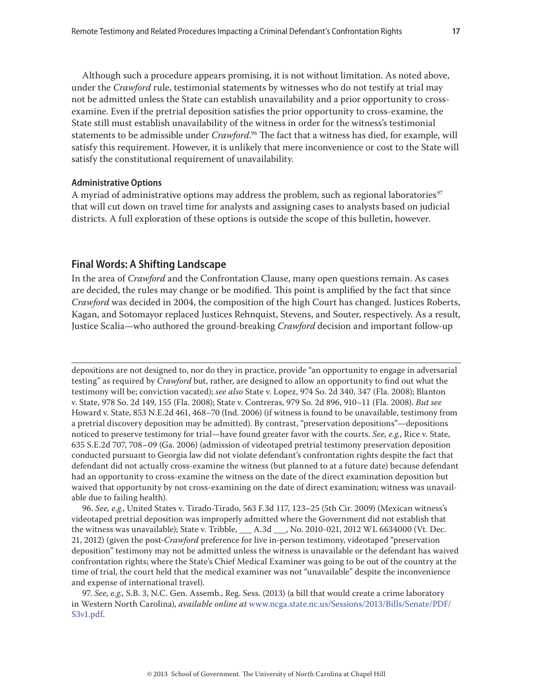Although such a procedure appears promising, it is not without limitation. As noted above, under the *Crawford* rule, testimonial statements by witnesses who do not testify at trial may not be admitted unless the State can establish unavailability and a prior opportunity to crossexamine. Even if the pretrial deposition satisfies the prior opportunity to cross-examine, the State still must establish unavailability of the witness in order for the witness's testimonial statements to be admissible under *Crawford*. 96 The fact that a witness has died, for example, will satisfy this requirement. However, it is unlikely that mere inconvenience or cost to the State will satisfy the constitutional requirement of unavailability.

#### **Administrative Options**

A myriad of administrative options may address the problem, such as regional laboratories<sup>97</sup> that will cut down on travel time for analysts and assigning cases to analysts based on judicial districts. A full exploration of these options is outside the scope of this bulletin, however.

## **Final Words: A Shifting Landscape**

In the area of *Crawford* and the Confrontation Clause, many open questions remain. As cases are decided, the rules may change or be modified. This point is amplified by the fact that since *Crawford* was decided in 2004, the composition of the high Court has changed. Justices Roberts, Kagan, and Sotomayor replaced Justices Rehnquist, Stevens, and Souter, respectively. As a result, Justice Scalia—who authored the ground-breaking *Crawford* decision and important follow-up

depositions are not designed to, nor do they in practice, provide "an opportunity to engage in adversarial testing" as required by *Crawford* but, rather, are designed to allow an opportunity to find out what the testimony will be; conviction vacated); *see also* State v. Lopez, 974 So. 2d 340, 347 (Fla. 2008); Blanton v. State, 978 So. 2d 149, 155 (Fla. 2008); State v. Contreras, 979 So. 2d 896, 910–11 (Fla. 2008). *But see*  Howard v. State, 853 N.E.2d 461, 468–70 (Ind. 2006) (if witness is found to be unavailable, testimony from a pretrial discovery deposition may be admitted). By contrast, "preservation depositions"—depositions noticed to preserve testimony for trial—have found greater favor with the courts. *See, e.g.*, Rice v. State, 635 S.E.2d 707, 708–09 (Ga. 2006) (admission of videotaped pretrial testimony preservation deposition conducted pursuant to Georgia law did not violate defendant's confrontation rights despite the fact that defendant did not actually cross-examine the witness (but planned to at a future date) because defendant had an opportunity to cross-examine the witness on the date of the direct examination deposition but waived that opportunity by not cross-examining on the date of direct examination; witness was unavailable due to failing health).

96. *See, e.g.*, United States v. Tirado-Tirado, 563 F.3d 117, 123–25 (5th Cir. 2009) (Mexican witness's videotaped pretrial deposition was improperly admitted where the Government did not establish that the witness was unavailable); State v. Tribble, \_\_\_ A.3d \_\_\_, No. 2010-021, 2012 WL 6634000 (Vt. Dec. 21, 2012) (given the post-*Crawford* preference for live in-person testimony, videotaped "preservation deposition" testimony may not be admitted unless the witness is unavailable or the defendant has waived confrontation rights; where the State's Chief Medical Examiner was going to be out of the country at the time of trial, the court held that the medical examiner was not "unavailable" despite the inconvenience and expense of international travel).

97. *See, e.g.,* S.B. 3, N.C. Gen. Assemb., Reg. Sess. (2013) (a bill that would create a crime laboratory in Western North Carolina), *available online at* [www.ncga.state.nc.us/Sessions/2013/Bills/Senate/PDF/](www.ncga.state.nc.us/Sessions/2013/Bills/Senate/PDF/S3v1.pdf) [S3v1.pdf.](www.ncga.state.nc.us/Sessions/2013/Bills/Senate/PDF/S3v1.pdf)